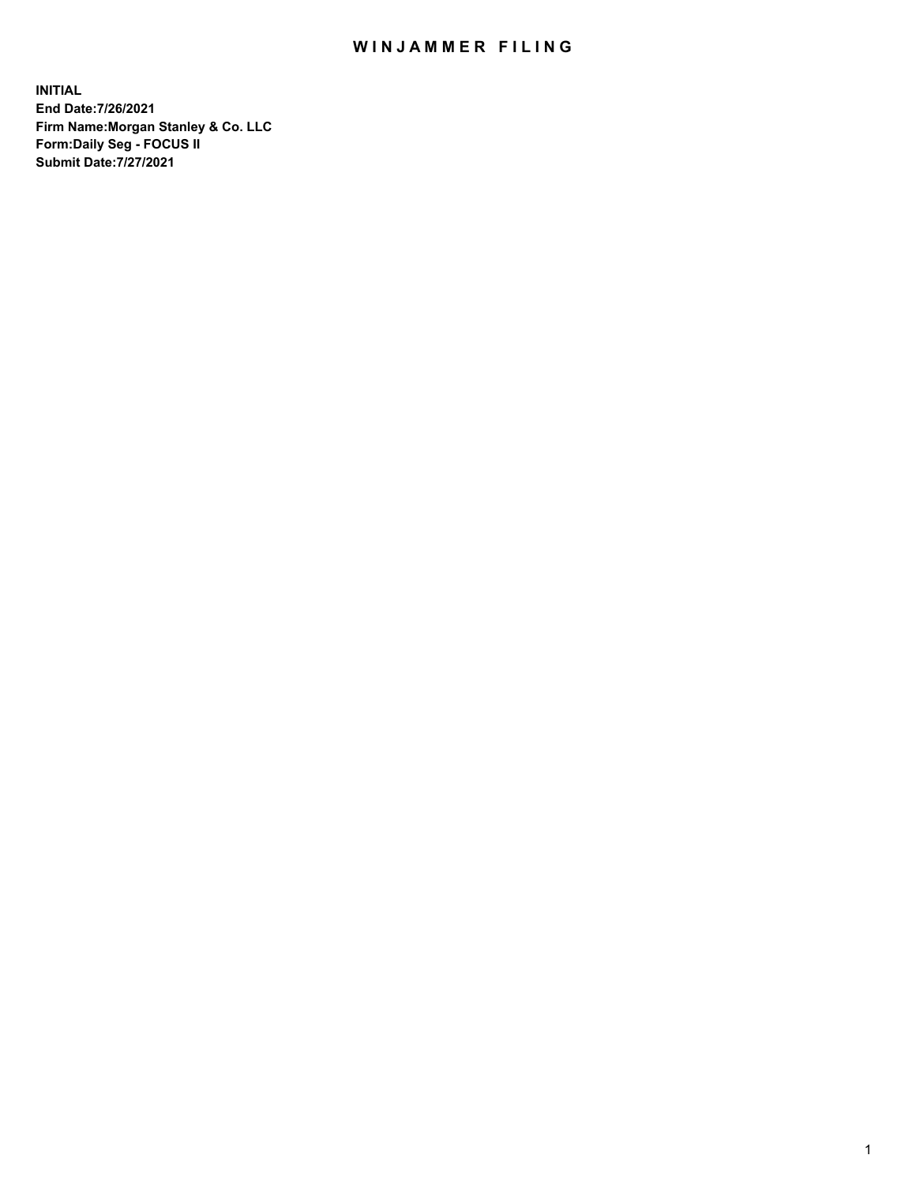## WIN JAMMER FILING

**INITIAL End Date:7/26/2021 Firm Name:Morgan Stanley & Co. LLC Form:Daily Seg - FOCUS II Submit Date:7/27/2021**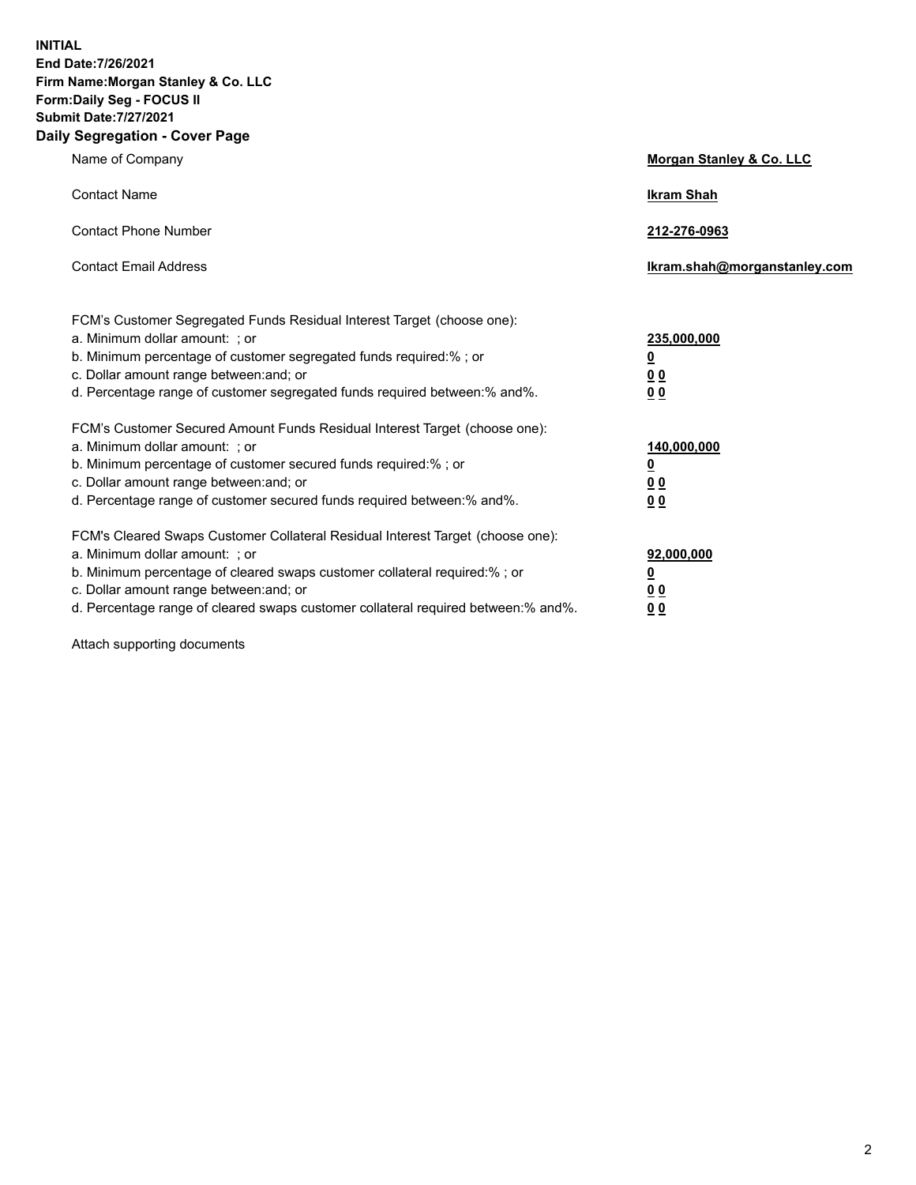**INITIAL End Date:7/26/2021 Firm Name:Morgan Stanley & Co. LLC Form:Daily Seg - FOCUS II Submit Date:7/27/2021 Daily Segregation - Cover Page**

| Name of Company                                                                                                                                                                                                                                                                                                                | Morgan Stanley & Co. LLC                                    |
|--------------------------------------------------------------------------------------------------------------------------------------------------------------------------------------------------------------------------------------------------------------------------------------------------------------------------------|-------------------------------------------------------------|
| <b>Contact Name</b>                                                                                                                                                                                                                                                                                                            | <b>Ikram Shah</b>                                           |
| <b>Contact Phone Number</b>                                                                                                                                                                                                                                                                                                    | 212-276-0963                                                |
| <b>Contact Email Address</b>                                                                                                                                                                                                                                                                                                   | Ikram.shah@morganstanley.com                                |
| FCM's Customer Segregated Funds Residual Interest Target (choose one):<br>a. Minimum dollar amount: ; or<br>b. Minimum percentage of customer segregated funds required:% ; or<br>c. Dollar amount range between: and; or<br>d. Percentage range of customer segregated funds required between:% and%.                         | 235,000,000<br><u>0</u><br>0 <sup>0</sup><br>00             |
| FCM's Customer Secured Amount Funds Residual Interest Target (choose one):<br>a. Minimum dollar amount: ; or<br>b. Minimum percentage of customer secured funds required:% ; or<br>c. Dollar amount range between: and; or<br>d. Percentage range of customer secured funds required between:% and%.                           | 140,000,000<br><u>0</u><br>0 <sub>0</sub><br>0 <sub>0</sub> |
| FCM's Cleared Swaps Customer Collateral Residual Interest Target (choose one):<br>a. Minimum dollar amount: ; or<br>b. Minimum percentage of cleared swaps customer collateral required:% ; or<br>c. Dollar amount range between: and; or<br>d. Percentage range of cleared swaps customer collateral required between:% and%. | 92,000,000<br><u>0</u><br>0 Q<br>0 <sub>0</sub>             |

Attach supporting documents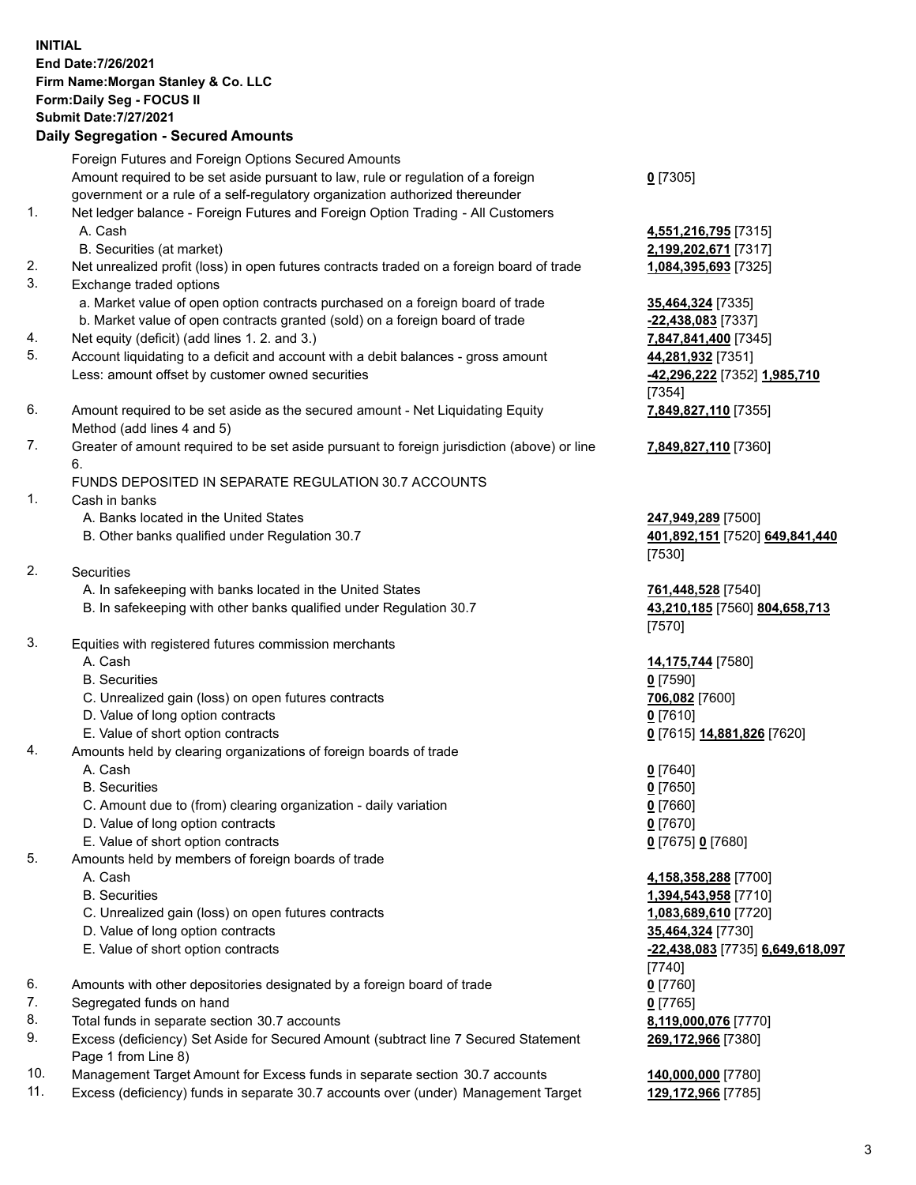## **INITIAL End Date:7/26/2021 Firm Name:Morgan Stanley & Co. LLC Form:Daily Seg - FOCUS II Submit Date:7/27/2021 Daily Segregation - Secured Amounts** Foreign Futures and Foreign Options Secured Amounts Amount required to be set aside pursuant to law, rule or regulation of a foreign government or a rule of a self-regulatory organization authorized thereunder

- 1. Net ledger balance Foreign Futures and Foreign Option Trading All Customers A. Cash **4,551,216,795** [7315]
	- B. Securities (at market) **2,199,202,671** [7317]
- 2. Net unrealized profit (loss) in open futures contracts traded on a foreign board of trade **1,084,395,693** [7325]
- 3. Exchange traded options
	- a. Market value of open option contracts purchased on a foreign board of trade **35,464,324** [7335]
	- b. Market value of open contracts granted (sold) on a foreign board of trade **-22,438,083** [7337]
- 4. Net equity (deficit) (add lines 1. 2. and 3.) **7,847,841,400** [7345]
- 5. Account liquidating to a deficit and account with a debit balances gross amount **44,281,932** [7351] Less: amount offset by customer owned securities **-42,296,222** [7352] **1,985,710**
- 6. Amount required to be set aside as the secured amount Net Liquidating Equity Method (add lines 4 and 5)
- 7. Greater of amount required to be set aside pursuant to foreign jurisdiction (above) or line 6.

## FUNDS DEPOSITED IN SEPARATE REGULATION 30.7 ACCOUNTS

- 1. Cash in banks
	- A. Banks located in the United States **247,949,289** [7500]
	- B. Other banks qualified under Regulation 30.7 **401,892,151** [7520] **649,841,440**
- 2. Securities
	- A. In safekeeping with banks located in the United States **761,448,528** [7540]
	- B. In safekeeping with other banks qualified under Regulation 30.7 **43,210,185** [7560] **804,658,713**
- 3. Equities with registered futures commission merchants
	-
	- B. Securities **0** [7590]
	- C. Unrealized gain (loss) on open futures contracts **706,082** [7600]
	- D. Value of long option contracts **0** [7610]
	- E. Value of short option contracts **0** [7615] **14,881,826** [7620]
- 4. Amounts held by clearing organizations of foreign boards of trade
	- A. Cash **0** [7640]
	- B. Securities **0** [7650]
	- C. Amount due to (from) clearing organization daily variation **0** [7660]
	- D. Value of long option contracts **0** [7670]
	- E. Value of short option contracts **0** [7675] **0** [7680]
- 5. Amounts held by members of foreign boards of trade
	-
	-
	- C. Unrealized gain (loss) on open futures contracts **1,083,689,610** [7720]
	- D. Value of long option contracts **35,464,324** [7730]
	- E. Value of short option contracts **-22,438,083** [7735] **6,649,618,097**
- 6. Amounts with other depositories designated by a foreign board of trade **0** [7760]
- 7. Segregated funds on hand **0** [7765]
- 8. Total funds in separate section 30.7 accounts **8,119,000,076** [7770]
- 9. Excess (deficiency) Set Aside for Secured Amount (subtract line 7 Secured Statement Page 1 from Line 8)
- 10. Management Target Amount for Excess funds in separate section 30.7 accounts **140,000,000** [7780]
- 11. Excess (deficiency) funds in separate 30.7 accounts over (under) Management Target **129,172,966** [7785]

[7354] **7,849,827,110** [7355]

**7,849,827,110** [7360]

**0** [7305]

[7530]

[7570]

A. Cash **14,175,744** [7580]

 A. Cash **4,158,358,288** [7700] B. Securities **1,394,543,958** [7710] [7740] **269,172,966** [7380]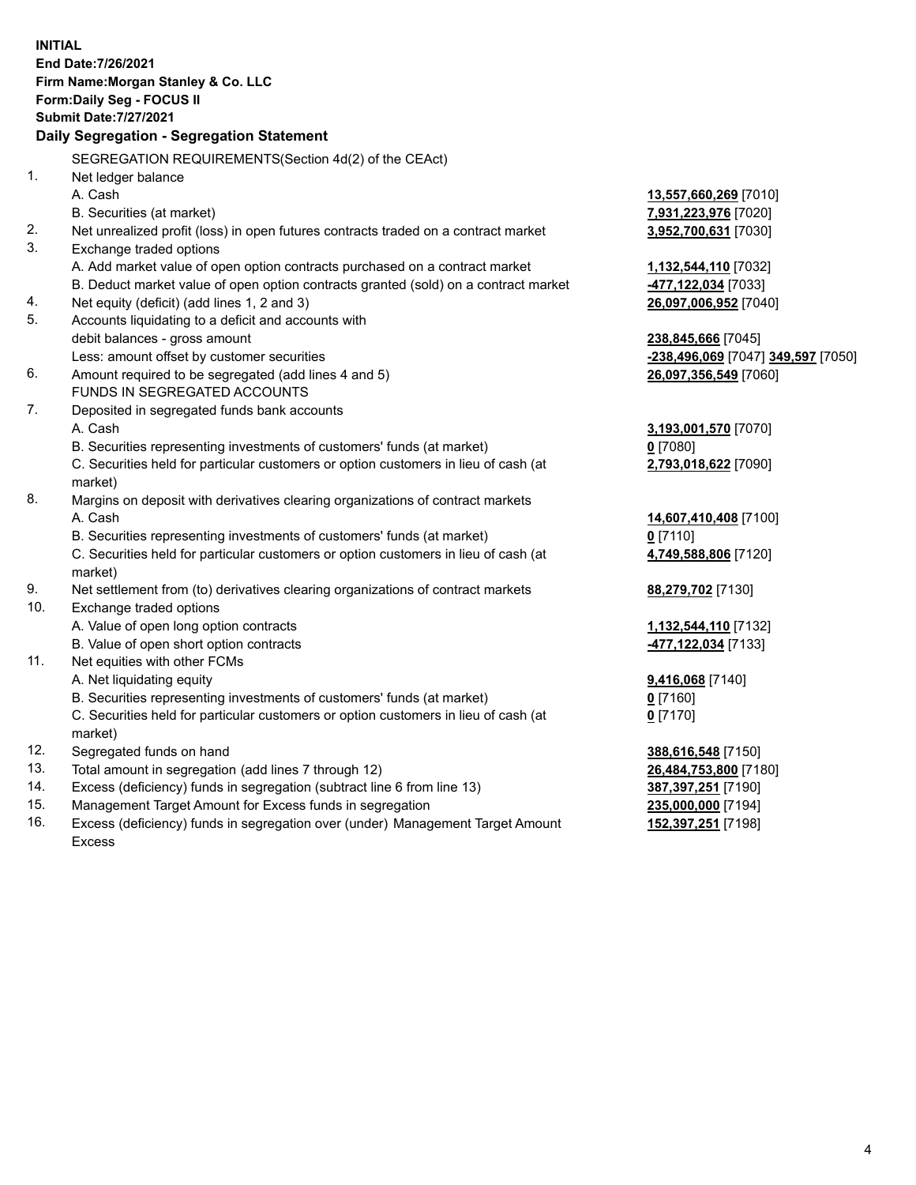**INITIAL End Date:7/26/2021 Firm Name:Morgan Stanley & Co. LLC Form:Daily Seg - FOCUS II Submit Date:7/27/2021 Daily Segregation - Segregation Statement** SEGREGATION REQUIREMENTS(Section 4d(2) of the CEAct) 1. Net ledger balance A. Cash **13,557,660,269** [7010] B. Securities (at market) **7,931,223,976** [7020] 2. Net unrealized profit (loss) in open futures contracts traded on a contract market **3,952,700,631** [7030] 3. Exchange traded options A. Add market value of open option contracts purchased on a contract market **1,132,544,110** [7032] B. Deduct market value of open option contracts granted (sold) on a contract market **-477,122,034** [7033] 4. Net equity (deficit) (add lines 1, 2 and 3) **26,097,006,952** [7040] 5. Accounts liquidating to a deficit and accounts with debit balances - gross amount **238,845,666** [7045] Less: amount offset by customer securities **-238,496,069** [7047] **349,597** [7050] 6. Amount required to be segregated (add lines 4 and 5) **26,097,356,549** [7060] FUNDS IN SEGREGATED ACCOUNTS 7. Deposited in segregated funds bank accounts A. Cash **3,193,001,570** [7070] B. Securities representing investments of customers' funds (at market) **0** [7080] C. Securities held for particular customers or option customers in lieu of cash (at market) **2,793,018,622** [7090] 8. Margins on deposit with derivatives clearing organizations of contract markets A. Cash **14,607,410,408** [7100] B. Securities representing investments of customers' funds (at market) **0** [7110] C. Securities held for particular customers or option customers in lieu of cash (at market) **4,749,588,806** [7120] 9. Net settlement from (to) derivatives clearing organizations of contract markets **88,279,702** [7130] 10. Exchange traded options A. Value of open long option contracts **1,132,544,110** [7132] B. Value of open short option contracts **-477,122,034** [7133] 11. Net equities with other FCMs A. Net liquidating equity **9,416,068** [7140] B. Securities representing investments of customers' funds (at market) **0** [7160] C. Securities held for particular customers or option customers in lieu of cash (at market) **0** [7170] 12. Segregated funds on hand **388,616,548** [7150] 13. Total amount in segregation (add lines 7 through 12) **26,484,753,800** [7180] 14. Excess (deficiency) funds in segregation (subtract line 6 from line 13) **387,397,251** [7190] 15. Management Target Amount for Excess funds in segregation **235,000,000** [7194]

16. Excess (deficiency) funds in segregation over (under) Management Target Amount Excess

**152,397,251** [7198]